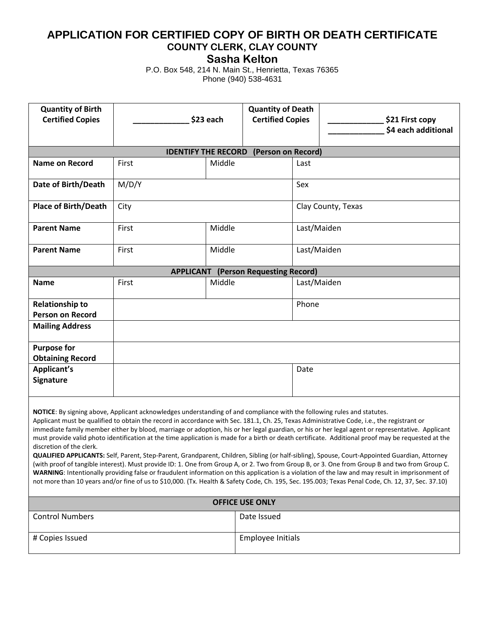## **APPLICATION FOR CERTIFIED COPY OF BIRTH OR DEATH CERTIFICATE COUNTY CLERK, CLAY COUNTY**

**Sasha Kelton**

P.O. Box 548, 214 N. Main St., Henrietta, Texas 76365 Phone (940) 538-4631

| <b>Quantity of Birth</b><br><b>Certified Copies</b>                                                                                                                                                                                                                                                                                                                                                                                                                                                                                                                                                                                                                                                                                                                                                                                                                                                                                                                                                                                                                                                                                                                                                                    | \$23 each       |        | <b>Quantity of Death</b><br><b>Certified Copies</b> |                    | \$21 First copy<br>\$4 each additional |  |  |  |
|------------------------------------------------------------------------------------------------------------------------------------------------------------------------------------------------------------------------------------------------------------------------------------------------------------------------------------------------------------------------------------------------------------------------------------------------------------------------------------------------------------------------------------------------------------------------------------------------------------------------------------------------------------------------------------------------------------------------------------------------------------------------------------------------------------------------------------------------------------------------------------------------------------------------------------------------------------------------------------------------------------------------------------------------------------------------------------------------------------------------------------------------------------------------------------------------------------------------|-----------------|--------|-----------------------------------------------------|--------------------|----------------------------------------|--|--|--|
| <b>IDENTIFY THE RECORD</b><br>(Person on Record)                                                                                                                                                                                                                                                                                                                                                                                                                                                                                                                                                                                                                                                                                                                                                                                                                                                                                                                                                                                                                                                                                                                                                                       |                 |        |                                                     |                    |                                        |  |  |  |
| <b>Name on Record</b>                                                                                                                                                                                                                                                                                                                                                                                                                                                                                                                                                                                                                                                                                                                                                                                                                                                                                                                                                                                                                                                                                                                                                                                                  | First<br>Middle |        | Last                                                |                    |                                        |  |  |  |
| Date of Birth/Death                                                                                                                                                                                                                                                                                                                                                                                                                                                                                                                                                                                                                                                                                                                                                                                                                                                                                                                                                                                                                                                                                                                                                                                                    | M/D/Y           |        |                                                     | Sex                |                                        |  |  |  |
| <b>Place of Birth/Death</b>                                                                                                                                                                                                                                                                                                                                                                                                                                                                                                                                                                                                                                                                                                                                                                                                                                                                                                                                                                                                                                                                                                                                                                                            | City            |        |                                                     | Clay County, Texas |                                        |  |  |  |
| <b>Parent Name</b>                                                                                                                                                                                                                                                                                                                                                                                                                                                                                                                                                                                                                                                                                                                                                                                                                                                                                                                                                                                                                                                                                                                                                                                                     | Middle<br>First |        | Last/Maiden                                         |                    |                                        |  |  |  |
| <b>Parent Name</b>                                                                                                                                                                                                                                                                                                                                                                                                                                                                                                                                                                                                                                                                                                                                                                                                                                                                                                                                                                                                                                                                                                                                                                                                     | First           | Middle | Last/Maiden                                         |                    |                                        |  |  |  |
| <b>APPLICANT (Person Requesting Record)</b>                                                                                                                                                                                                                                                                                                                                                                                                                                                                                                                                                                                                                                                                                                                                                                                                                                                                                                                                                                                                                                                                                                                                                                            |                 |        |                                                     |                    |                                        |  |  |  |
| <b>Name</b>                                                                                                                                                                                                                                                                                                                                                                                                                                                                                                                                                                                                                                                                                                                                                                                                                                                                                                                                                                                                                                                                                                                                                                                                            | Middle<br>First |        | Last/Maiden                                         |                    |                                        |  |  |  |
| <b>Relationship to</b><br><b>Person on Record</b>                                                                                                                                                                                                                                                                                                                                                                                                                                                                                                                                                                                                                                                                                                                                                                                                                                                                                                                                                                                                                                                                                                                                                                      |                 |        |                                                     | Phone              |                                        |  |  |  |
| <b>Mailing Address</b>                                                                                                                                                                                                                                                                                                                                                                                                                                                                                                                                                                                                                                                                                                                                                                                                                                                                                                                                                                                                                                                                                                                                                                                                 |                 |        |                                                     |                    |                                        |  |  |  |
| <b>Purpose for</b><br><b>Obtaining Record</b>                                                                                                                                                                                                                                                                                                                                                                                                                                                                                                                                                                                                                                                                                                                                                                                                                                                                                                                                                                                                                                                                                                                                                                          |                 |        |                                                     |                    |                                        |  |  |  |
| <b>Applicant's</b><br>Signature                                                                                                                                                                                                                                                                                                                                                                                                                                                                                                                                                                                                                                                                                                                                                                                                                                                                                                                                                                                                                                                                                                                                                                                        |                 |        |                                                     | Date               |                                        |  |  |  |
| NOTICE: By signing above, Applicant acknowledges understanding of and compliance with the following rules and statutes.<br>Applicant must be qualified to obtain the record in accordance with Sec. 181.1, Ch. 25, Texas Administrative Code, i.e., the registrant or<br>immediate family member either by blood, marriage or adoption, his or her legal guardian, or his or her legal agent or representative. Applicant<br>must provide valid photo identification at the time application is made for a birth or death certificate. Additional proof may be requested at the<br>discretion of the clerk.<br>QUALIFIED APPLICANTS: Self, Parent, Step-Parent, Grandparent, Children, Sibling (or half-sibling), Spouse, Court-Appointed Guardian, Attorney<br>(with proof of tangible interest). Must provide ID: 1. One from Group A, or 2. Two from Group B, or 3. One from Group B and two from Group C.<br>WARNING: Intentionally providing false or fraudulent information on this application is a violation of the law and may result in imprisonment of<br>not more than 10 years and/or fine of us to \$10,000. (Tx. Health & Safety Code, Ch. 195, Sec. 195.003; Texas Penal Code, Ch. 12, 37, Sec. 37.10) |                 |        |                                                     |                    |                                        |  |  |  |
| <b>OFFICE USE ONLY</b>                                                                                                                                                                                                                                                                                                                                                                                                                                                                                                                                                                                                                                                                                                                                                                                                                                                                                                                                                                                                                                                                                                                                                                                                 |                 |        |                                                     |                    |                                        |  |  |  |
| <b>Control Numbers</b>                                                                                                                                                                                                                                                                                                                                                                                                                                                                                                                                                                                                                                                                                                                                                                                                                                                                                                                                                                                                                                                                                                                                                                                                 |                 |        | Date Issued                                         |                    |                                        |  |  |  |
| # Copies Issued                                                                                                                                                                                                                                                                                                                                                                                                                                                                                                                                                                                                                                                                                                                                                                                                                                                                                                                                                                                                                                                                                                                                                                                                        |                 |        | <b>Employee Initials</b>                            |                    |                                        |  |  |  |